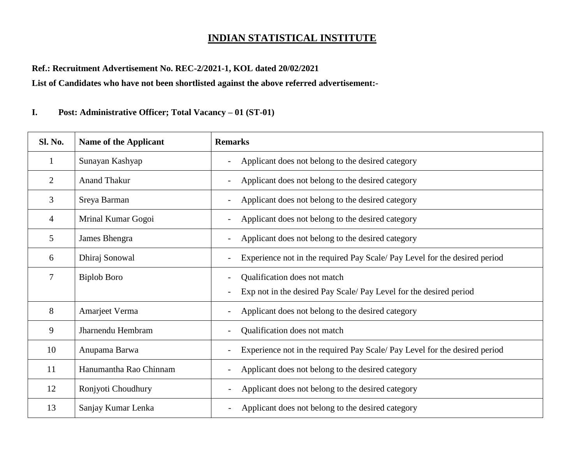## **INDIAN STATISTICAL INSTITUTE**

## **Ref.: Recruitment Advertisement No. REC-2/2021-1, KOL dated 20/02/2021**

**List of Candidates who have not been shortlisted against the above referred advertisement:-**

## **I. Post: Administrative Officer; Total Vacancy – 01 (ST-01)**

| <b>Sl. No.</b> | <b>Name of the Applicant</b> | <b>Remarks</b>                                                                                    |
|----------------|------------------------------|---------------------------------------------------------------------------------------------------|
| $\mathbf{1}$   | Sunayan Kashyap              | Applicant does not belong to the desired category                                                 |
| $\overline{2}$ | <b>Anand Thakur</b>          | Applicant does not belong to the desired category<br>$\overline{\phantom{a}}$                     |
| 3              | Sreya Barman                 | Applicant does not belong to the desired category                                                 |
| $\overline{4}$ | Mrinal Kumar Gogoi           | Applicant does not belong to the desired category                                                 |
| 5              | James Bhengra                | Applicant does not belong to the desired category                                                 |
| 6              | Dhiraj Sonowal               | Experience not in the required Pay Scale/ Pay Level for the desired period                        |
| $\overline{7}$ | <b>Biplob Boro</b>           | Qualification does not match<br>Exp not in the desired Pay Scale/Pay Level for the desired period |
| 8              | Amarjeet Verma               | Applicant does not belong to the desired category                                                 |
| 9              | Jharnendu Hembram            | Qualification does not match                                                                      |
| 10             | Anupama Barwa                | Experience not in the required Pay Scale/ Pay Level for the desired period                        |
| 11             | Hanumantha Rao Chinnam       | Applicant does not belong to the desired category                                                 |
| 12             | Ronjyoti Choudhury           | Applicant does not belong to the desired category                                                 |
| 13             | Sanjay Kumar Lenka           | Applicant does not belong to the desired category                                                 |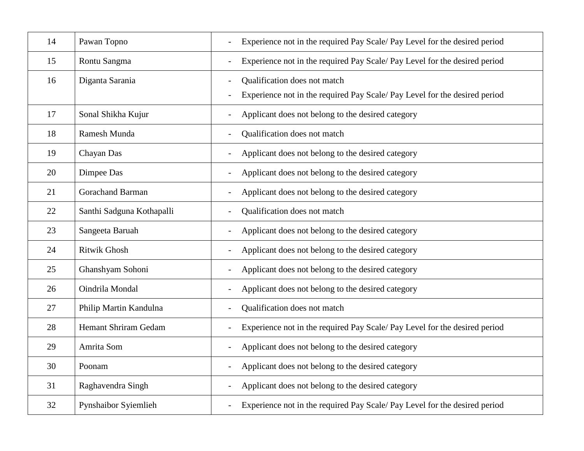| 14 | Pawan Topno                 | Experience not in the required Pay Scale/ Pay Level for the desired period                                                             |
|----|-----------------------------|----------------------------------------------------------------------------------------------------------------------------------------|
| 15 | Rontu Sangma                | Experience not in the required Pay Scale/ Pay Level for the desired period                                                             |
| 16 | Diganta Sarania             | Qualification does not match<br>Experience not in the required Pay Scale/ Pay Level for the desired period<br>$\overline{\phantom{a}}$ |
| 17 | Sonal Shikha Kujur          | Applicant does not belong to the desired category<br>$\overline{\phantom{a}}$                                                          |
| 18 | Ramesh Munda                | Qualification does not match                                                                                                           |
| 19 | Chayan Das                  | Applicant does not belong to the desired category                                                                                      |
| 20 | Dimpee Das                  | Applicant does not belong to the desired category                                                                                      |
| 21 | <b>Gorachand Barman</b>     | Applicant does not belong to the desired category                                                                                      |
| 22 | Santhi Sadguna Kothapalli   | Qualification does not match                                                                                                           |
| 23 | Sangeeta Baruah             | Applicant does not belong to the desired category                                                                                      |
| 24 | <b>Ritwik Ghosh</b>         | Applicant does not belong to the desired category                                                                                      |
| 25 | Ghanshyam Sohoni            | Applicant does not belong to the desired category<br>$\overline{a}$                                                                    |
| 26 | Oindrila Mondal             | Applicant does not belong to the desired category<br>$\overline{\phantom{a}}$                                                          |
| 27 | Philip Martin Kandulna      | Qualification does not match                                                                                                           |
| 28 | <b>Hemant Shriram Gedam</b> | Experience not in the required Pay Scale/ Pay Level for the desired period                                                             |
| 29 | Amrita Som                  | Applicant does not belong to the desired category                                                                                      |
| 30 | Poonam                      | Applicant does not belong to the desired category<br>$\overline{\phantom{a}}$                                                          |
| 31 | Raghavendra Singh           | Applicant does not belong to the desired category                                                                                      |
| 32 | Pynshaibor Syiemlieh        | Experience not in the required Pay Scale/ Pay Level for the desired period                                                             |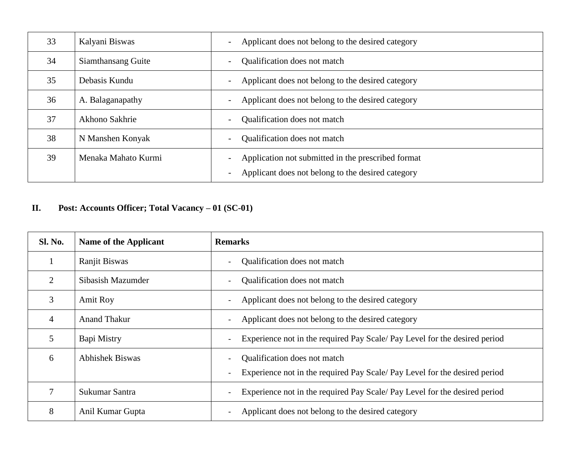| 33 | Kalyani Biswas      | Applicant does not belong to the desired category<br>$\overline{\phantom{a}}$                                                       |
|----|---------------------|-------------------------------------------------------------------------------------------------------------------------------------|
| 34 | Siamthansang Guite  | Qualification does not match<br>$\overline{\phantom{a}}$                                                                            |
| 35 | Debasis Kundu       | Applicant does not belong to the desired category<br>$\overline{\phantom{a}}$                                                       |
| 36 | A. Balaganapathy    | Applicant does not belong to the desired category<br>$\overline{\phantom{a}}$                                                       |
| 37 | Akhono Sakhrie      | Qualification does not match<br>$\overline{\phantom{a}}$                                                                            |
| 38 | N Manshen Konyak    | Qualification does not match<br>$\overline{\phantom{a}}$                                                                            |
| 39 | Menaka Mahato Kurmi | Application not submitted in the prescribed format<br>$\blacksquare$<br>Applicant does not belong to the desired category<br>$\sim$ |

## **II. Post: Accounts Officer; Total Vacancy – 01 (SC-01)**

| <b>Sl. No.</b> | <b>Name of the Applicant</b> | <b>Remarks</b>                                                                                                                                |
|----------------|------------------------------|-----------------------------------------------------------------------------------------------------------------------------------------------|
|                | Ranjit Biswas                | Qualification does not match                                                                                                                  |
| $\overline{2}$ | Sibasish Mazumder            | Qualification does not match<br>$\overline{\phantom{0}}$                                                                                      |
| 3              | <b>Amit Roy</b>              | Applicant does not belong to the desired category<br>$\overline{\phantom{0}}$                                                                 |
| $\overline{4}$ | <b>Anand Thakur</b>          | Applicant does not belong to the desired category<br>$-$                                                                                      |
| 5              | Bapi Mistry                  | Experience not in the required Pay Scale/Pay Level for the desired period<br>$\overline{\phantom{a}}$                                         |
| 6              | <b>Abhishek Biswas</b>       | Qualification does not match<br>$\blacksquare$<br>Experience not in the required Pay Scale/Pay Level for the desired period<br>$\blacksquare$ |
| 7              | Sukumar Santra               | Experience not in the required Pay Scale/Pay Level for the desired period<br>$\overline{\phantom{a}}$                                         |
| 8              | Anil Kumar Gupta             | Applicant does not belong to the desired category                                                                                             |